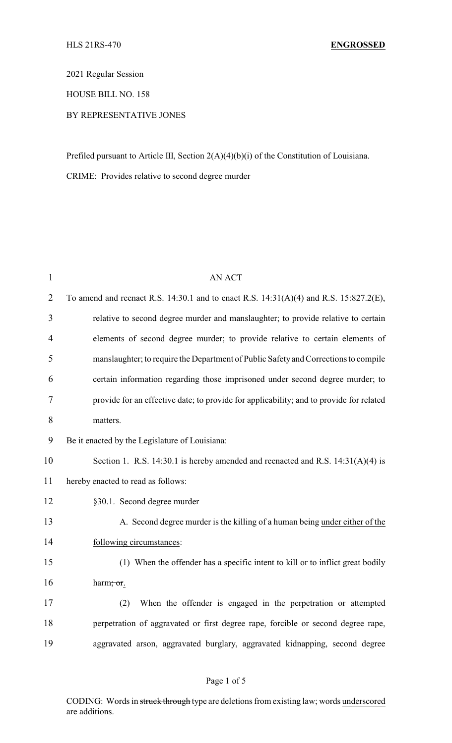2021 Regular Session

HOUSE BILL NO. 158

## BY REPRESENTATIVE JONES

Prefiled pursuant to Article III, Section 2(A)(4)(b)(i) of the Constitution of Louisiana.

CRIME: Provides relative to second degree murder

| $\mathbf{1}$   | <b>AN ACT</b>                                                                           |
|----------------|-----------------------------------------------------------------------------------------|
| $\overline{2}$ | To amend and reenact R.S. 14:30.1 and to enact R.S. 14:31(A)(4) and R.S. 15:827.2(E),   |
| 3              | relative to second degree murder and manslaughter; to provide relative to certain       |
| 4              | elements of second degree murder; to provide relative to certain elements of            |
| 5              | manslaughter; to require the Department of Public Safety and Corrections to compile     |
| 6              | certain information regarding those imprisoned under second degree murder; to           |
| 7              | provide for an effective date; to provide for applicability; and to provide for related |
| 8              | matters.                                                                                |
| 9              | Be it enacted by the Legislature of Louisiana:                                          |
| 10             | Section 1. R.S. 14:30.1 is hereby amended and reenacted and R.S. $14:31(A)(4)$ is       |
| 11             | hereby enacted to read as follows:                                                      |
| 12             | §30.1. Second degree murder                                                             |
| 13             | A. Second degree murder is the killing of a human being under either of the             |
| 14             | following circumstances:                                                                |
| 15             | (1) When the offender has a specific intent to kill or to inflict great bodily          |
| 16             | harm; or.                                                                               |
| 17             | When the offender is engaged in the perpetration or attempted<br>(2)                    |
| 18             | perpetration of aggravated or first degree rape, forcible or second degree rape,        |
| 19             | aggravated arson, aggravated burglary, aggravated kidnapping, second degree             |
|                |                                                                                         |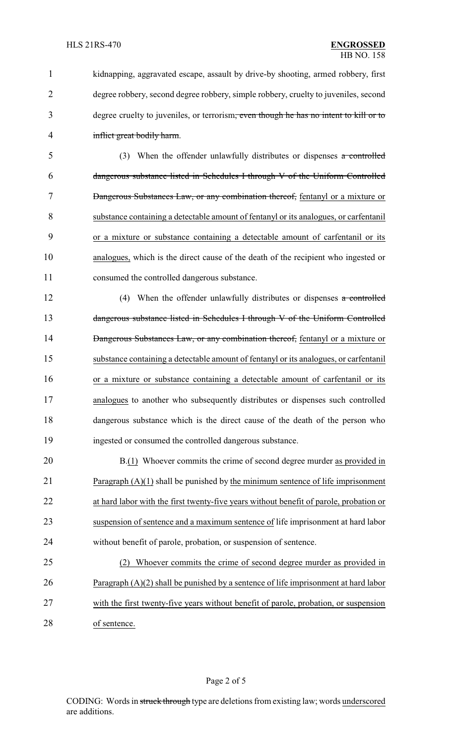kidnapping, aggravated escape, assault by drive-by shooting, armed robbery, first degree robbery, second degree robbery, simple robbery, cruelty to juveniles, second degree cruelty to juveniles, or terrorism, even though he has no intent to kill or to inflict great bodily harm.

 (3) When the offender unlawfully distributes or dispenses a controlled dangerous substance listed in Schedules I through V of the Uniform Controlled 7 Dangerous Substances Law, or any combination thereof, fentanyl or a mixture or substance containing a detectable amount of fentanyl or its analogues, or carfentanil or a mixture or substance containing a detectable amount of carfentanil or its analogues, which is the direct cause of the death of the recipient who ingested or consumed the controlled dangerous substance.

12 (4) When the offender unlawfully distributes or dispenses a controlled 13 dangerous substance listed in Schedules I through V of the Uniform Controlled 14 Dangerous Substances Law, or any combination thereof, fentanyl or a mixture or substance containing a detectable amount of fentanyl or its analogues, or carfentanil or a mixture or substance containing a detectable amount of carfentanil or its analogues to another who subsequently distributes or dispenses such controlled dangerous substance which is the direct cause of the death of the person who ingested or consumed the controlled dangerous substance.

20 B.(1) Whoever commits the crime of second degree murder as provided in Paragraph (A)(1) shall be punished by the minimum sentence of life imprisonment at hard labor with the first twenty-five years without benefit of parole, probation or suspension of sentence and a maximum sentence of life imprisonment at hard labor without benefit of parole, probation, or suspension of sentence.

 (2) Whoever commits the crime of second degree murder as provided in Paragraph (A)(2) shall be punished by a sentence of life imprisonment at hard labor with the first twenty-five years without benefit of parole, probation, or suspension of sentence.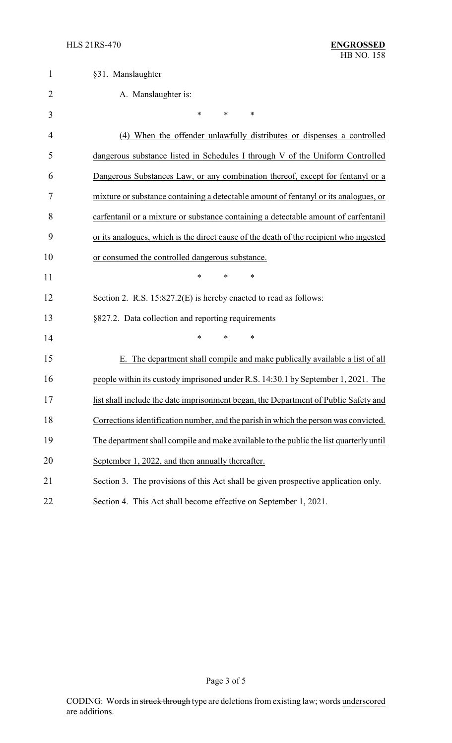| $\mathbf{1}$   | §31. Manslaughter                                                                      |
|----------------|----------------------------------------------------------------------------------------|
| $\overline{2}$ | A. Manslaughter is:                                                                    |
| 3              | $\ast$<br>$\ast$<br>∗                                                                  |
| 4              | (4) When the offender unlawfully distributes or dispenses a controlled                 |
| 5              | dangerous substance listed in Schedules I through V of the Uniform Controlled          |
| 6              | Dangerous Substances Law, or any combination thereof, except for fentanyl or a         |
| 7              | mixture or substance containing a detectable amount of fentanyl or its analogues, or   |
| 8              | carfentanil or a mixture or substance containing a detectable amount of carfentanil    |
| 9              | or its analogues, which is the direct cause of the death of the recipient who ingested |
| 10             | or consumed the controlled dangerous substance.                                        |
| 11             | $\ast$<br>$\ast$<br>∗                                                                  |
| 12             | Section 2. R.S. 15:827.2(E) is hereby enacted to read as follows:                      |
| 13             | §827.2. Data collection and reporting requirements                                     |
| 14             | $\ast$<br>$\ast$<br>*                                                                  |
| 15             | E. The department shall compile and make publically available a list of all            |
| 16             | people within its custody imprisoned under R.S. 14:30.1 by September 1, 2021. The      |
| 17             | list shall include the date imprisonment began, the Department of Public Safety and    |
| 18             | Corrections identification number, and the parish in which the person was convicted.   |
| 19             | The department shall compile and make available to the public the list quarterly until |
| 20             | September 1, 2022, and then annually thereafter.                                       |
| 21             | Section 3. The provisions of this Act shall be given prospective application only.     |
| 22             | Section 4. This Act shall become effective on September 1, 2021.                       |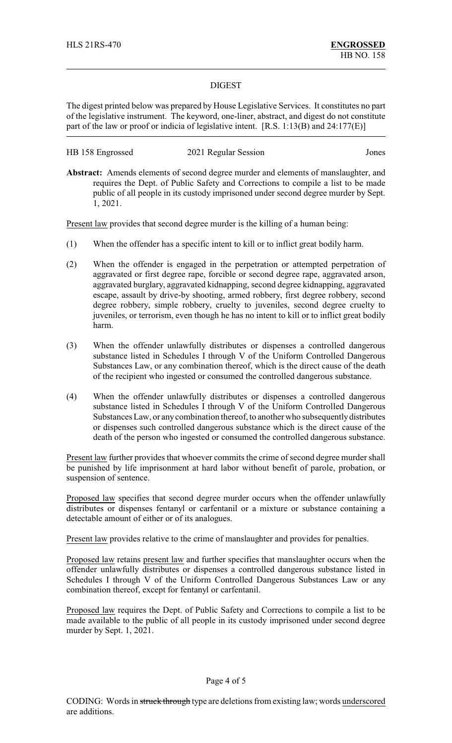## DIGEST

The digest printed below was prepared by House Legislative Services. It constitutes no part of the legislative instrument. The keyword, one-liner, abstract, and digest do not constitute part of the law or proof or indicia of legislative intent. [R.S. 1:13(B) and 24:177(E)]

| HB 158 Engrossed | 2021 Regular Session | Jones |
|------------------|----------------------|-------|
|------------------|----------------------|-------|

**Abstract:** Amends elements of second degree murder and elements of manslaughter, and requires the Dept. of Public Safety and Corrections to compile a list to be made public of all people in its custody imprisoned under second degree murder by Sept. 1, 2021.

Present law provides that second degree murder is the killing of a human being:

- (1) When the offender has a specific intent to kill or to inflict great bodily harm.
- (2) When the offender is engaged in the perpetration or attempted perpetration of aggravated or first degree rape, forcible or second degree rape, aggravated arson, aggravated burglary, aggravated kidnapping, second degree kidnapping, aggravated escape, assault by drive-by shooting, armed robbery, first degree robbery, second degree robbery, simple robbery, cruelty to juveniles, second degree cruelty to juveniles, or terrorism, even though he has no intent to kill or to inflict great bodily harm.
- (3) When the offender unlawfully distributes or dispenses a controlled dangerous substance listed in Schedules I through V of the Uniform Controlled Dangerous Substances Law, or any combination thereof, which is the direct cause of the death of the recipient who ingested or consumed the controlled dangerous substance.
- (4) When the offender unlawfully distributes or dispenses a controlled dangerous substance listed in Schedules I through V of the Uniform Controlled Dangerous Substances Law, or anycombination thereof, to another who subsequentlydistributes or dispenses such controlled dangerous substance which is the direct cause of the death of the person who ingested or consumed the controlled dangerous substance.

Present law further provides that whoever commits the crime of second degree murder shall be punished by life imprisonment at hard labor without benefit of parole, probation, or suspension of sentence.

Proposed law specifies that second degree murder occurs when the offender unlawfully distributes or dispenses fentanyl or carfentanil or a mixture or substance containing a detectable amount of either or of its analogues.

Present law provides relative to the crime of manslaughter and provides for penalties.

Proposed law retains present law and further specifies that manslaughter occurs when the offender unlawfully distributes or dispenses a controlled dangerous substance listed in Schedules I through V of the Uniform Controlled Dangerous Substances Law or any combination thereof, except for fentanyl or carfentanil.

Proposed law requires the Dept. of Public Safety and Corrections to compile a list to be made available to the public of all people in its custody imprisoned under second degree murder by Sept. 1, 2021.